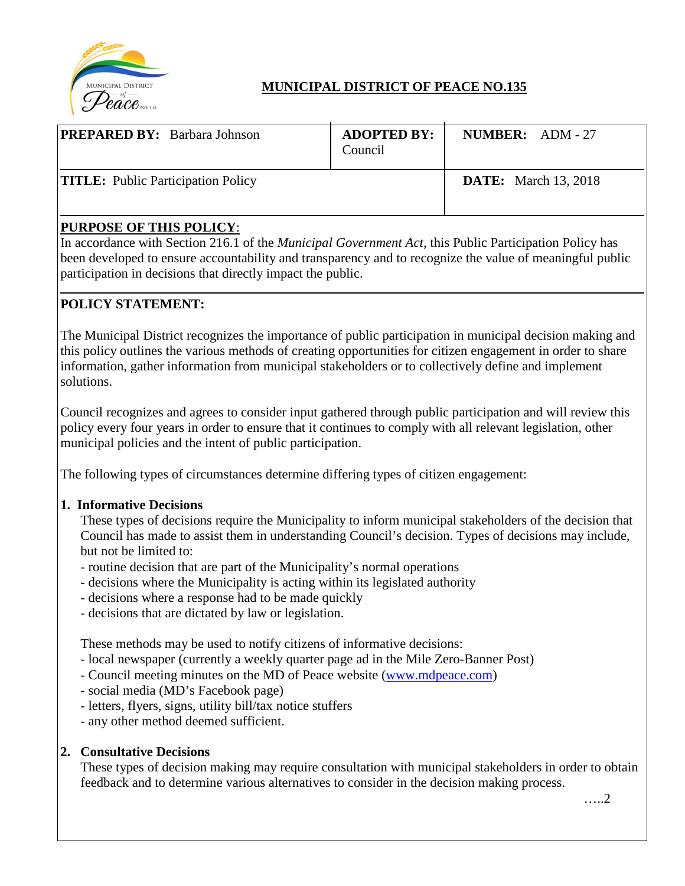

# **MUNICIPAL DISTRICT OF PEACE NO.135**

| <b>PREPARED BY:</b> Barbara Johnson       | <b>ADOPTED BY:</b><br>Council | <b>NUMBER:</b> $ADM - 27$   |  |
|-------------------------------------------|-------------------------------|-----------------------------|--|
| <b>TITLE:</b> Public Participation Policy |                               | <b>DATE:</b> March 13, 2018 |  |

### **PURPOSE OF THIS POLICY**:

In accordance with Section 216.1 of the *Municipal Government Act,* this Public Participation Policy has been developed to ensure accountability and transparency and to recognize the value of meaningful public participation in decisions that directly impact the public.

## **POLICY STATEMENT:**

The Municipal District recognizes the importance of public participation in municipal decision making and this policy outlines the various methods of creating opportunities for citizen engagement in order to share information, gather information from municipal stakeholders or to collectively define and implement solutions.

Council recognizes and agrees to consider input gathered through public participation and will review this policy every four years in order to ensure that it continues to comply with all relevant legislation, other municipal policies and the intent of public participation.

The following types of circumstances determine differing types of citizen engagement:

#### **1. Informative Decisions**

These types of decisions require the Municipality to inform municipal stakeholders of the decision that Council has made to assist them in understanding Council's decision. Types of decisions may include, but not be limited to:

- routine decision that are part of the Municipality's normal operations
- decisions where the Municipality is acting within its legislated authority
- decisions where a response had to be made quickly
- decisions that are dictated by law or legislation.

These methods may be used to notify citizens of informative decisions:

- local newspaper (currently a weekly quarter page ad in the Mile Zero-Banner Post)
- Council meeting minutes on the MD of Peace website [\(www.mdpeace.com\)](http://www.mdpeace.com/)
- social media (MD's Facebook page)
- letters, flyers, signs, utility bill/tax notice stuffers
- any other method deemed sufficient.

#### **2. Consultative Decisions**

These types of decision making may require consultation with municipal stakeholders in order to obtain feedback and to determine various alternatives to consider in the decision making process.

…..2